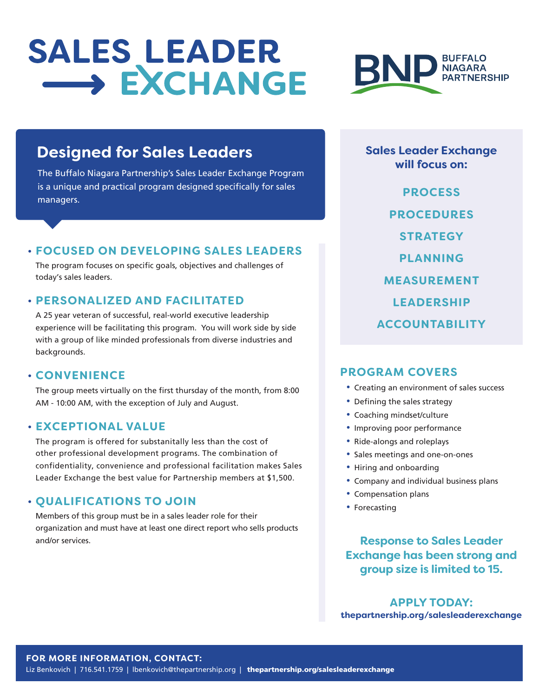# SALES LEADER<br>
SALES EXCHANGE



### **Designed for Sales Leaders**

The Buffalo Niagara Partnership's Sales Leader Exchange Program is a unique and practical program designed specifically for sales managers.

#### **• FOCUSED ON DEVELOPING SALES LEADERS**

The program focuses on specific goals, objectives and challenges of today's sales leaders.

#### **• PERSONALIZED AND FACILITATED**

A 25 year veteran of successful, real-world executive leadership experience will be facilitating this program. You will work side by side with a group of like minded professionals from diverse industries and backgrounds.

#### **• CONVENIENCE**

The group meets virtually on the first thursday of the month, from 8:00 AM - 10:00 AM, with the exception of July and August.

#### **• EXCEPTIONAL VALUE**

The program is offered for substanitally less than the cost of other professional development programs. The combination of confidentiality, convenience and professional facilitation makes Sales Leader Exchange the best value for Partnership members at \$1,500.

#### **• QUALIFICATIONS TO JOIN**

Members of this group must be in a sales leader role for their organization and must have at least one direct report who sells products and/or services.

**Sales Leader Exchange will focus on:**

**PROCESS PROCEDURES STRATEGY PLANNING MEASUREMENT LEADERSHIP ACCOUNTABILITY**

#### **PROGRAM COVERS**

- **•** Creating an environment of sales success
- **•** Defining the sales strategy
- **•** Coaching mindset/culture
- **•** Improving poor performance
- **•** Ride-alongs and roleplays
- **•** Sales meetings and one-on-ones
- **•** Hiring and onboarding
- **•** Company and individual business plans
- **•** Compensation plans
- **•** Forecasting

**Response to Sales Leader Exchange has been strong and group size is limited to 15.**

**APPLY TODAY: thepartnership.org/salesleaderexchange**